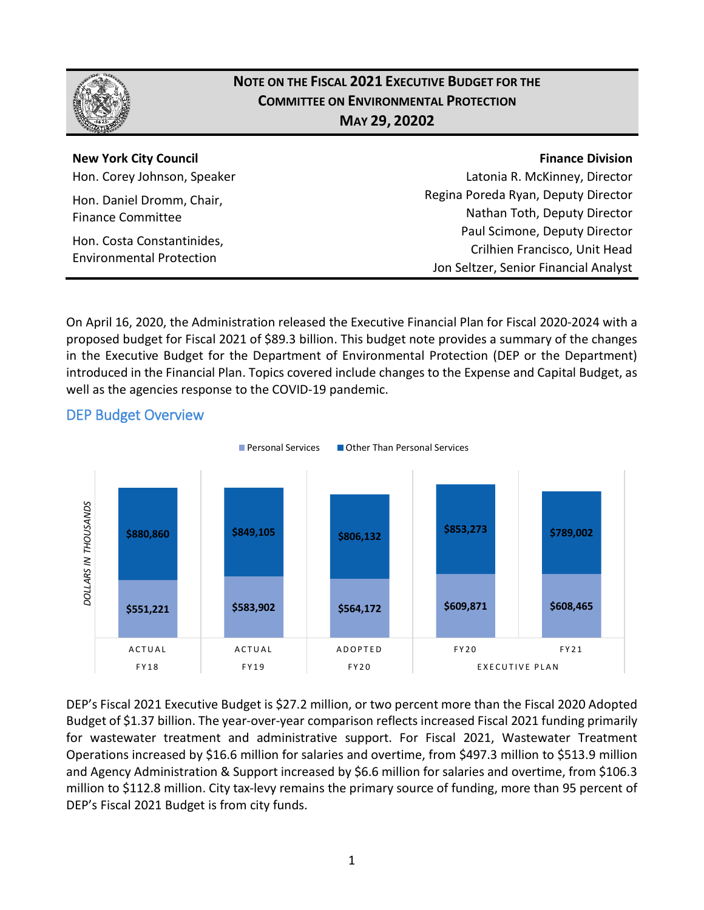

## **NOTE ON THE FISCAL 2021 EXECUTIVE BUDGET FOR THE COMMITTEE ON ENVIRONMENTAL PROTECTION MAY 29, 20202**

**New York City Council** Hon. Corey Johnson, Speaker

Hon. Daniel Dromm, Chair, Finance Committee

Hon. Costa Constantinides, Environmental Protection

#### **Finance Division**

Latonia R. McKinney, Director Regina Poreda Ryan, Deputy Director Nathan Toth, Deputy Director Paul Scimone, Deputy Director Crilhien Francisco, Unit Head Jon Seltzer, Senior Financial Analyst

On April 16, 2020, the Administration released the Executive Financial Plan for Fiscal 2020-2024 with a proposed budget for Fiscal 2021 of \$89.3 billion. This budget note provides a summary of the changes in the Executive Budget for the Department of Environmental Protection (DEP or the Department) introduced in the Financial Plan. Topics covered include changes to the Expense and Capital Budget, as well as the agencies response to the COVID-19 pandemic.



## DEP Budget Overview

DEP's Fiscal 2021 Executive Budget is \$27.2 million, or two percent more than the Fiscal 2020 Adopted Budget of \$1.37 billion. The year-over-year comparison reflects increased Fiscal 2021 funding primarily for wastewater treatment and administrative support. For Fiscal 2021, Wastewater Treatment Operations increased by \$16.6 million for salaries and overtime, from \$497.3 million to \$513.9 million and Agency Administration & Support increased by \$6.6 million for salaries and overtime, from \$106.3 million to \$112.8 million. City tax-levy remains the primary source of funding, more than 95 percent of DEP's Fiscal 2021 Budget is from city funds.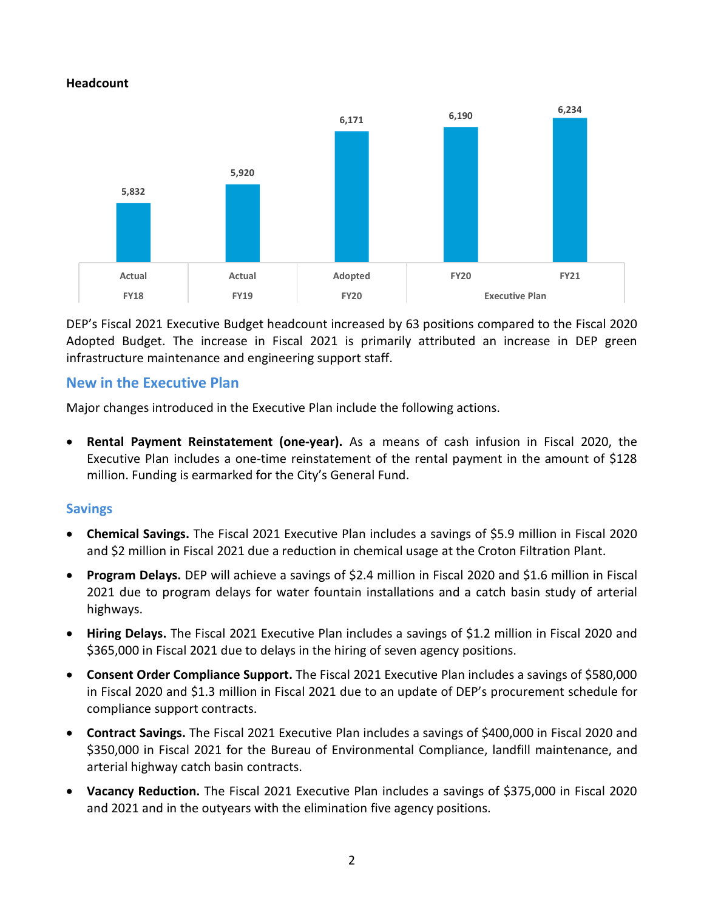#### **Headcount**



DEP's Fiscal 2021 Executive Budget headcount increased by 63 positions compared to the Fiscal 2020 Adopted Budget. The increase in Fiscal 2021 is primarily attributed an increase in DEP green infrastructure maintenance and engineering support staff.

## **New in the Executive Plan**

Major changes introduced in the Executive Plan include the following actions.

• **Rental Payment Reinstatement (one-year).** As a means of cash infusion in Fiscal 2020, the Executive Plan includes a one-time reinstatement of the rental payment in the amount of \$128 million. Funding is earmarked for the City's General Fund.

#### **Savings**

- **Chemical Savings.** The Fiscal 2021 Executive Plan includes a savings of \$5.9 million in Fiscal 2020 and \$2 million in Fiscal 2021 due a reduction in chemical usage at the Croton Filtration Plant.
- **Program Delays.** DEP will achieve a savings of \$2.4 million in Fiscal 2020 and \$1.6 million in Fiscal 2021 due to program delays for water fountain installations and a catch basin study of arterial highways.
- **Hiring Delays.** The Fiscal 2021 Executive Plan includes a savings of \$1.2 million in Fiscal 2020 and \$365,000 in Fiscal 2021 due to delays in the hiring of seven agency positions.
- **Consent Order Compliance Support.** The Fiscal 2021 Executive Plan includes a savings of \$580,000 in Fiscal 2020 and \$1.3 million in Fiscal 2021 due to an update of DEP's procurement schedule for compliance support contracts.
- **Contract Savings.** The Fiscal 2021 Executive Plan includes a savings of \$400,000 in Fiscal 2020 and \$350,000 in Fiscal 2021 for the Bureau of Environmental Compliance, landfill maintenance, and arterial highway catch basin contracts.
- **Vacancy Reduction.** The Fiscal 2021 Executive Plan includes a savings of \$375,000 in Fiscal 2020 and 2021 and in the outyears with the elimination five agency positions.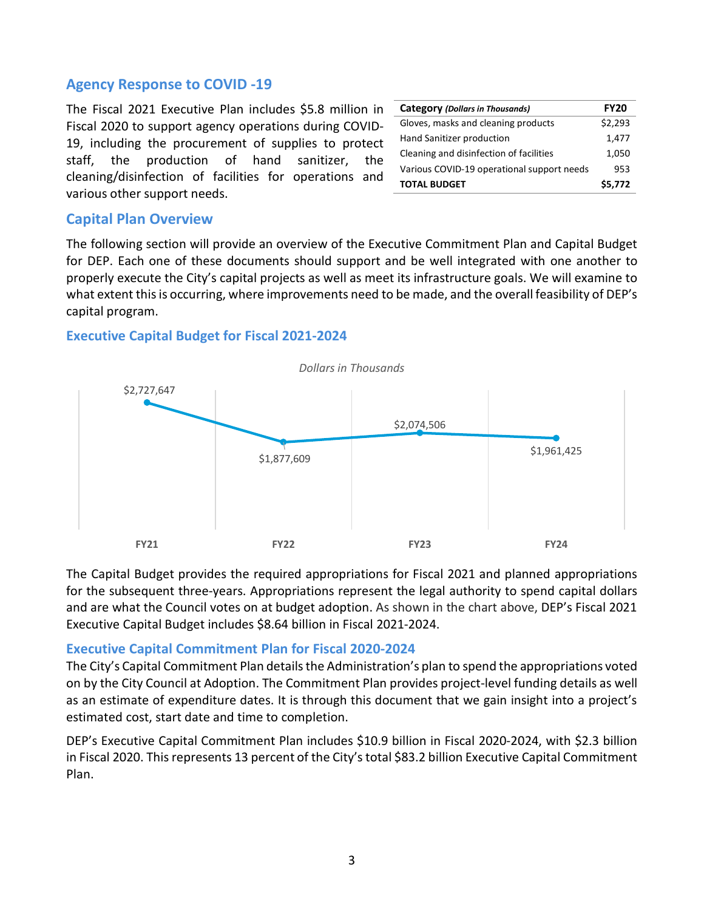#### **Agency Response to COVID -19**

The Fiscal 2021 Executive Plan includes \$5.8 million in Fiscal 2020 to support agency operations during COVID-19, including the procurement of supplies to protect staff, the production of hand sanitizer, the cleaning/disinfection of facilities for operations and various other support needs.

| <b>Category (Dollars in Thousands)</b>     | <b>FY20</b> |
|--------------------------------------------|-------------|
| Gloves, masks and cleaning products        | \$2,293     |
| Hand Sanitizer production                  | 1,477       |
| Cleaning and disinfection of facilities    | 1,050       |
| Various COVID-19 operational support needs | 953         |
| <b>TOTAL BUDGET</b>                        | \$5,772     |

#### **Capital Plan Overview**

The following section will provide an overview of the Executive Commitment Plan and Capital Budget for DEP. Each one of these documents should support and be well integrated with one another to properly execute the City's capital projects as well as meet its infrastructure goals. We will examine to what extent this is occurring, where improvements need to be made, and the overall feasibility of DEP's capital program.

#### **Executive Capital Budget for Fiscal 2021-2024**



The Capital Budget provides the required appropriations for Fiscal 2021 and planned appropriations for the subsequent three-years. Appropriations represent the legal authority to spend capital dollars and are what the Council votes on at budget adoption. As shown in the chart above, DEP's Fiscal 2021 Executive Capital Budget includes \$8.64 billion in Fiscal 2021-2024.

#### **Executive Capital Commitment Plan for Fiscal 2020-2024**

The City's Capital Commitment Plan details the Administration's plan to spend the appropriations voted on by the City Council at Adoption. The Commitment Plan provides project-level funding details as well as an estimate of expenditure dates. It is through this document that we gain insight into a project's estimated cost, start date and time to completion.

DEP's Executive Capital Commitment Plan includes \$10.9 billion in Fiscal 2020-2024, with \$2.3 billion in Fiscal 2020. This represents 13 percent of the City's total \$83.2 billion Executive Capital Commitment Plan.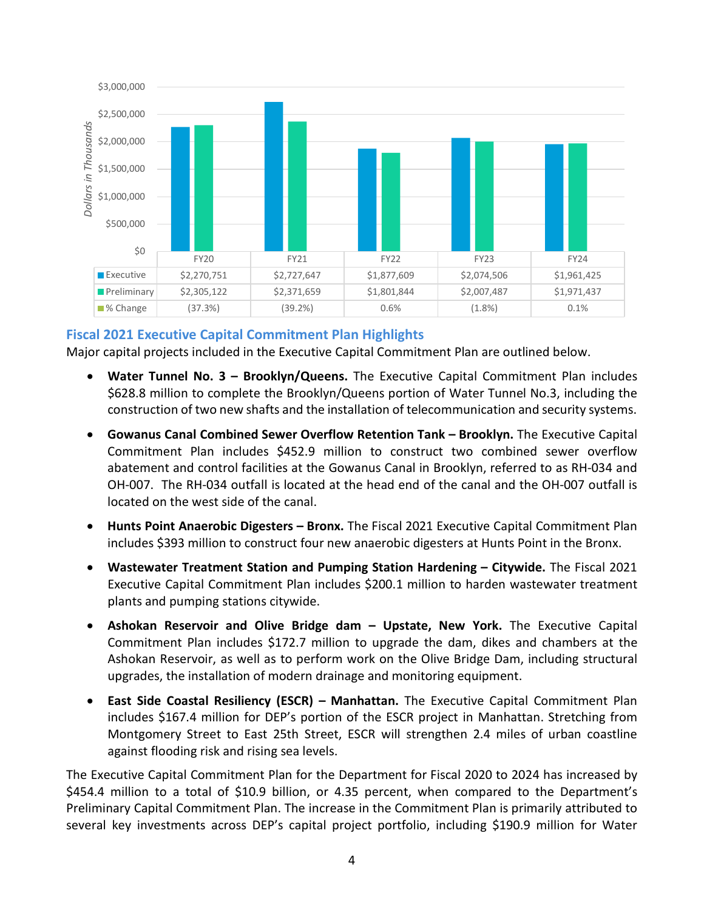

## **Fiscal 2021 Executive Capital Commitment Plan Highlights**

Major capital projects included in the Executive Capital Commitment Plan are outlined below.

- **Water Tunnel No. 3 – Brooklyn/Queens.** The Executive Capital Commitment Plan includes \$628.8 million to complete the Brooklyn/Queens portion of Water Tunnel No.3, including the construction of two new shafts and the installation of telecommunication and security systems.
- **Gowanus Canal Combined Sewer Overflow Retention Tank – Brooklyn.** The Executive Capital Commitment Plan includes \$452.9 million to construct two combined sewer overflow abatement and control facilities at the Gowanus Canal in Brooklyn, referred to as RH-034 and OH-007. The RH-034 outfall is located at the head end of the canal and the OH-007 outfall is located on the west side of the canal.
- **Hunts Point Anaerobic Digesters – Bronx.** The Fiscal 2021 Executive Capital Commitment Plan includes \$393 million to construct four new anaerobic digesters at Hunts Point in the Bronx.
- **Wastewater Treatment Station and Pumping Station Hardening – Citywide.** The Fiscal 2021 Executive Capital Commitment Plan includes \$200.1 million to harden wastewater treatment plants and pumping stations citywide.
- **Ashokan Reservoir and Olive Bridge dam – Upstate, New York.** The Executive Capital Commitment Plan includes \$172.7 million to upgrade the dam, dikes and chambers at the Ashokan Reservoir, as well as to perform work on the Olive Bridge Dam, including structural upgrades, the installation of modern drainage and monitoring equipment.
- **East Side Coastal Resiliency (ESCR) – Manhattan.** The Executive Capital Commitment Plan includes \$167.4 million for DEP's portion of the ESCR project in Manhattan. Stretching from Montgomery Street to East 25th Street, ESCR will strengthen 2.4 miles of urban coastline against flooding risk and rising sea levels.

The Executive Capital Commitment Plan for the Department for Fiscal 2020 to 2024 has increased by \$454.4 million to a total of \$10.9 billion, or 4.35 percent, when compared to the Department's Preliminary Capital Commitment Plan. The increase in the Commitment Plan is primarily attributed to several key investments across DEP's capital project portfolio, including \$190.9 million for Water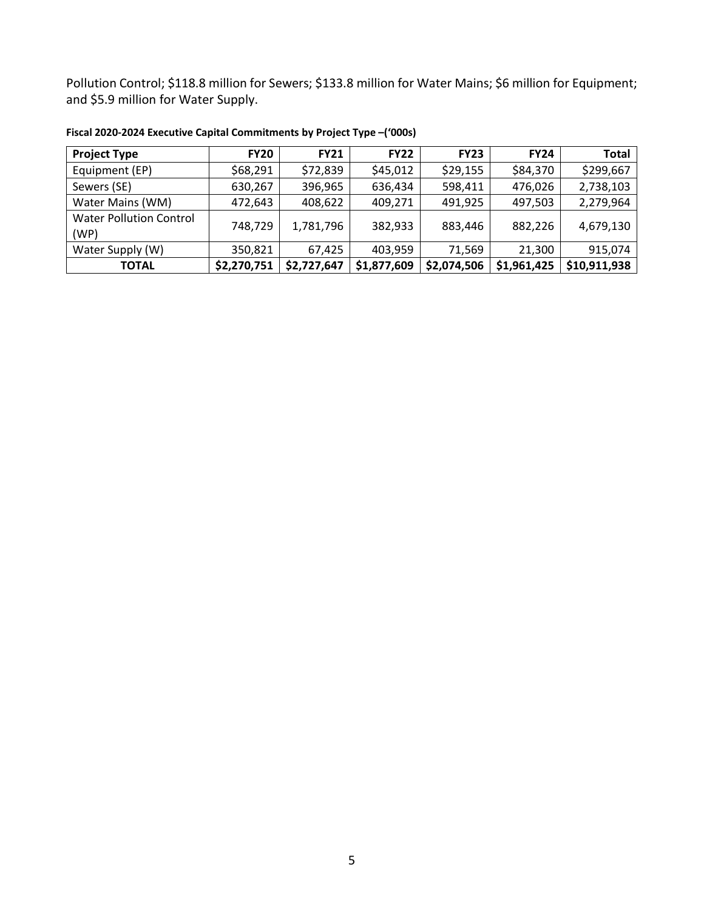Pollution Control; \$118.8 million for Sewers; \$133.8 million for Water Mains; \$6 million for Equipment; and \$5.9 million for Water Supply.

| <b>Project Type</b>                    | <b>FY20</b> | <b>FY21</b> | <b>FY22</b> | <b>FY23</b> | <b>FY24</b> | <b>Total</b> |
|----------------------------------------|-------------|-------------|-------------|-------------|-------------|--------------|
| Equipment (EP)                         | \$68,291    | \$72,839    | \$45,012    | \$29,155    | \$84,370    | \$299,667    |
| Sewers (SE)                            | 630,267     | 396,965     | 636,434     | 598,411     | 476,026     | 2,738,103    |
| Water Mains (WM)                       | 472,643     | 408,622     | 409,271     | 491,925     | 497,503     | 2,279,964    |
| <b>Water Pollution Control</b><br>(WP) | 748,729     | 1,781,796   | 382,933     | 883,446     | 882,226     | 4,679,130    |
| Water Supply (W)                       | 350,821     | 67,425      | 403,959     | 71,569      | 21,300      | 915,074      |
| <b>TOTAL</b>                           | \$2,270,751 | \$2,727,647 | \$1,877,609 | \$2,074,506 | \$1,961,425 | \$10,911,938 |

**Fiscal 2020-2024 Executive Capital Commitments by Project Type –('000s)**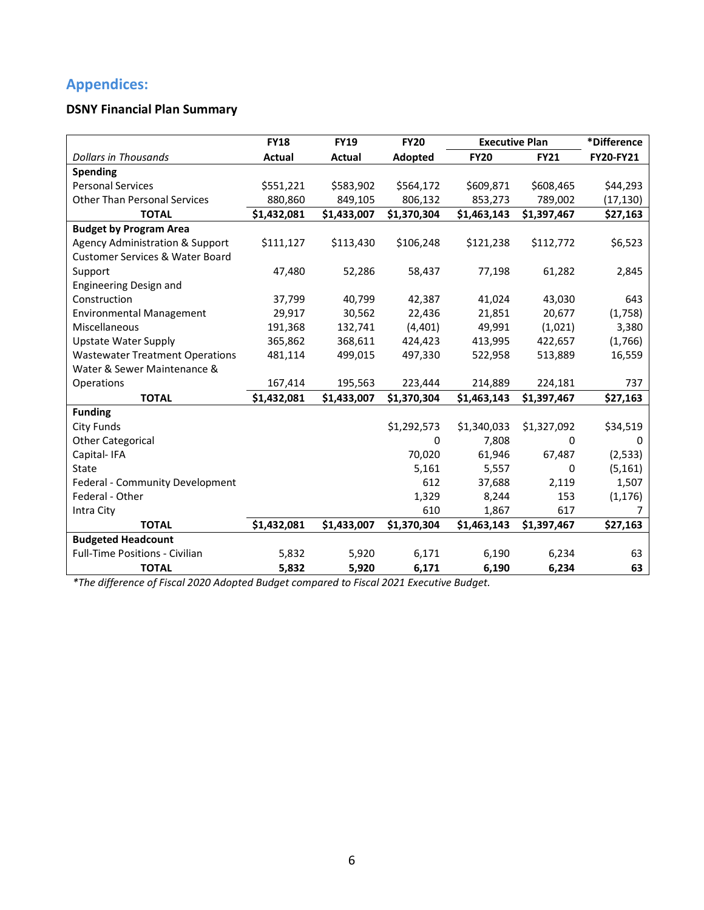# **Appendices:**

## **DSNY Financial Plan Summary**

|                                            | <b>FY18</b> | <b>FY19</b> | <b>FY20</b> | <b>Executive Plan</b> |             | *Difference      |
|--------------------------------------------|-------------|-------------|-------------|-----------------------|-------------|------------------|
| <b>Dollars in Thousands</b>                | Actual      | Actual      | Adopted     | <b>FY20</b>           | <b>FY21</b> | <b>FY20-FY21</b> |
| <b>Spending</b>                            |             |             |             |                       |             |                  |
| <b>Personal Services</b>                   | \$551,221   | \$583,902   | \$564,172   | \$609,871             | \$608,465   | \$44,293         |
| <b>Other Than Personal Services</b>        | 880,860     | 849,105     | 806,132     | 853,273               | 789,002     | (17, 130)        |
| <b>TOTAL</b>                               | \$1,432,081 | \$1,433,007 | \$1,370,304 | \$1,463,143           | \$1,397,467 | \$27,163         |
| <b>Budget by Program Area</b>              |             |             |             |                       |             |                  |
| <b>Agency Administration &amp; Support</b> | \$111,127   | \$113,430   | \$106,248   | \$121,238             | \$112,772   | \$6,523          |
| <b>Customer Services &amp; Water Board</b> |             |             |             |                       |             |                  |
| Support                                    | 47,480      | 52,286      | 58,437      | 77,198                | 61,282      | 2,845            |
| Engineering Design and                     |             |             |             |                       |             |                  |
| Construction                               | 37,799      | 40,799      | 42,387      | 41,024                | 43,030      | 643              |
| <b>Environmental Management</b>            | 29,917      | 30,562      | 22,436      | 21,851                | 20,677      | (1,758)          |
| Miscellaneous                              | 191,368     | 132,741     | (4, 401)    | 49,991                | (1,021)     | 3,380            |
| <b>Upstate Water Supply</b>                | 365,862     | 368,611     | 424,423     | 413,995               | 422,657     | (1,766)          |
| <b>Wastewater Treatment Operations</b>     | 481,114     | 499,015     | 497,330     | 522,958               | 513,889     | 16,559           |
| Water & Sewer Maintenance &                |             |             |             |                       |             |                  |
| Operations                                 | 167,414     | 195,563     | 223,444     | 214,889               | 224,181     | 737              |
| <b>TOTAL</b>                               | \$1,432,081 | \$1,433,007 | \$1,370,304 | \$1,463,143           | \$1,397,467 | \$27,163         |
| <b>Funding</b>                             |             |             |             |                       |             |                  |
| <b>City Funds</b>                          |             |             | \$1,292,573 | \$1,340,033           | \$1,327,092 | \$34,519         |
| <b>Other Categorical</b>                   |             |             | 0           | 7,808                 | 0           | 0                |
| Capital-IFA                                |             |             | 70,020      | 61,946                | 67,487      | (2, 533)         |
| <b>State</b>                               |             |             | 5,161       | 5,557                 | 0           | (5, 161)         |
| Federal - Community Development            |             |             | 612         | 37,688                | 2,119       | 1,507            |
| Federal - Other                            |             |             | 1,329       | 8,244                 | 153         | (1, 176)         |
| Intra City                                 |             |             | 610         | 1,867                 | 617         |                  |
| <b>TOTAL</b>                               | \$1,432,081 | \$1,433,007 | \$1,370,304 | \$1,463,143           | \$1,397,467 | \$27,163         |
| <b>Budgeted Headcount</b>                  |             |             |             |                       |             |                  |
| <b>Full-Time Positions - Civilian</b>      | 5,832       | 5,920       | 6,171       | 6,190                 | 6,234       | 63               |
| <b>TOTAL</b>                               | 5,832       | 5,920       | 6,171       | 6,190                 | 6,234       | 63               |

*\*The difference of Fiscal 2020 Adopted Budget compared to Fiscal 2021 Executive Budget.*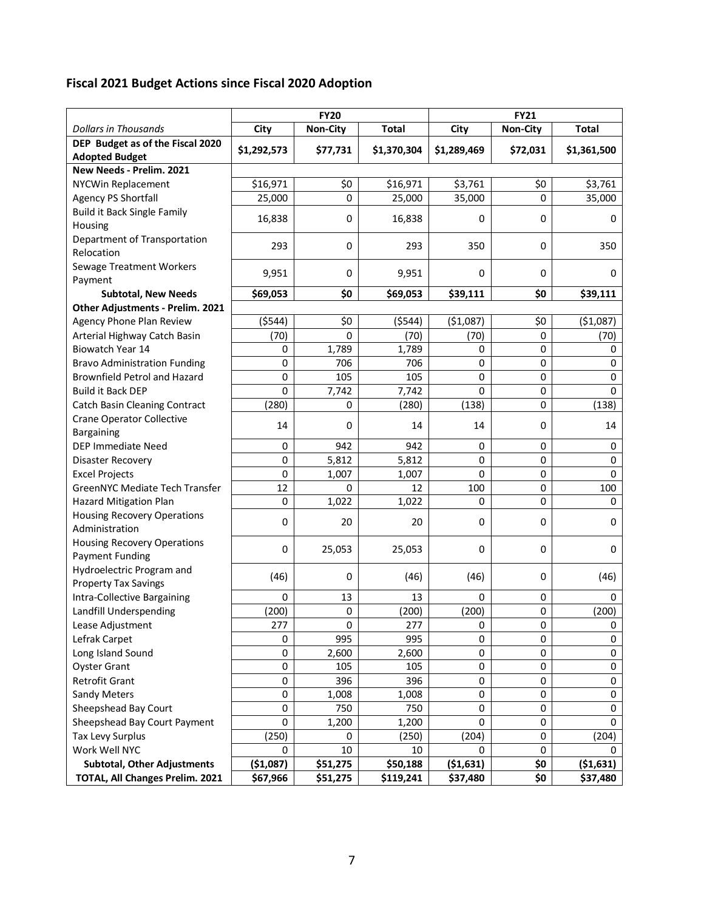# **Fiscal 2021 Budget Actions since Fiscal 2020 Adoption**

|                                      | <b>FY20</b> |                 |              | <b>FY21</b> |                 |              |  |
|--------------------------------------|-------------|-----------------|--------------|-------------|-----------------|--------------|--|
| <b>Dollars in Thousands</b>          | City        | <b>Non-City</b> | <b>Total</b> | City        | <b>Non-City</b> | <b>Total</b> |  |
| DEP Budget as of the Fiscal 2020     | \$1,292,573 | \$77,731        | \$1,370,304  | \$1,289,469 | \$72,031        | \$1,361,500  |  |
| <b>Adopted Budget</b>                |             |                 |              |             |                 |              |  |
| New Needs - Prelim. 2021             |             |                 |              |             |                 |              |  |
| <b>NYCWin Replacement</b>            | \$16,971    | \$0             | \$16,971     | \$3,761     | \$0             | \$3,761      |  |
| <b>Agency PS Shortfall</b>           | 25,000      | 0               | 25,000       | 35,000      | 0               | 35,000       |  |
| <b>Build it Back Single Family</b>   | 16,838      | 0               | 16,838       | 0           | 0               | 0            |  |
| Housing                              |             |                 |              |             |                 |              |  |
| Department of Transportation         | 293         | 0               | 293          | 350         | 0               | 350          |  |
| Relocation                           |             |                 |              |             |                 |              |  |
| Sewage Treatment Workers             | 9,951       | 0               | 9,951        | 0           | 0               | 0            |  |
| Payment                              |             |                 |              |             |                 |              |  |
| <b>Subtotal, New Needs</b>           | \$69,053    | \$0             | \$69,053     | \$39,111    | \$0             | \$39,111     |  |
| Other Adjustments - Prelim. 2021     |             |                 |              |             |                 |              |  |
| Agency Phone Plan Review             | (5544)      | \$0             | (5544)       | ( \$1,087)  | \$0             | ( \$1,087)   |  |
| Arterial Highway Catch Basin         | (70)        | $\Omega$        | (70)         | (70)        | 0               | (70)         |  |
| Biowatch Year 14                     | 0           | 1,789           | 1,789        | 0           | 0               | 0            |  |
| <b>Bravo Administration Funding</b>  | 0           | 706             | 706          | 0           | 0               | 0            |  |
| <b>Brownfield Petrol and Hazard</b>  | 0           | 105             | 105          | 0           | 0               | 0            |  |
| <b>Build it Back DEP</b>             | 0           | 7,742           | 7,742        | 0           | 0               | $\mathbf 0$  |  |
| <b>Catch Basin Cleaning Contract</b> | (280)       | 0               | (280)        | (138)       | 0               | (138)        |  |
| <b>Crane Operator Collective</b>     | 14          |                 |              | 14          | 0               | 14           |  |
| Bargaining                           |             | 0               | 14           |             |                 |              |  |
| DEP Immediate Need                   | $\mathbf 0$ | 942             | 942          | 0           | 0               | 0            |  |
| Disaster Recovery                    | 0           | 5,812           | 5,812        | 0           | 0               | 0            |  |
| <b>Excel Projects</b>                | 0           | 1,007           | 1,007        | 0           | 0               | 0            |  |
| GreenNYC Mediate Tech Transfer       | 12          | 0               | 12           | 100         | 0               | 100          |  |
| <b>Hazard Mitigation Plan</b>        | 0           | 1,022           | 1,022        | 0           | 0               | 0            |  |
| <b>Housing Recovery Operations</b>   | 0           | 20              | 20           | 0           | 0               | 0            |  |
| Administration                       |             |                 |              |             |                 |              |  |
| <b>Housing Recovery Operations</b>   | 0           | 25,053          | 25,053       | 0           | 0               | 0            |  |
| <b>Payment Funding</b>               |             |                 |              |             |                 |              |  |
| Hydroelectric Program and            | (46)        | 0               | (46)         | (46)        | 0               | (46)         |  |
| <b>Property Tax Savings</b>          |             |                 |              |             |                 |              |  |
| Intra-Collective Bargaining          | 0           | 13              | 13           | 0           | 0               | 0            |  |
| Landfill Underspending               | (200)       | 0               | (200)        | (200)       | $\mathbf 0$     | (200)        |  |
| Lease Adjustment                     | 277         | 0               | 277          | 0           | 0               | 0            |  |
| Lefrak Carpet                        | 0           | 995             | 995          | 0           | 0               | 0            |  |
| Long Island Sound                    | 0           | 2,600           | 2,600        | 0           | 0               | 0            |  |
| <b>Oyster Grant</b>                  | 0           | 105             | 105          | 0           | 0               | 0            |  |
| Retrofit Grant                       | 0           | 396             | 396          | 0           | 0               | 0            |  |
| <b>Sandy Meters</b>                  | 0           | 1,008           | 1,008        | 0           | 0               | 0            |  |
| Sheepshead Bay Court                 | 0           | 750             | 750          | 0           | 0               | 0            |  |
| Sheepshead Bay Court Payment         | 0           | 1,200           | 1,200        | 0           | 0               | 0            |  |
| <b>Tax Levy Surplus</b>              | (250)       | 0               | (250)        | (204)       | 0               | (204)        |  |
| Work Well NYC                        | 0           | 10              | 10           | 0           | 0               | 0            |  |
| <b>Subtotal, Other Adjustments</b>   | ( \$1,087)  | \$51,275        | \$50,188     | ( \$1,631)  | \$0             | (51, 631)    |  |
| TOTAL, All Changes Prelim. 2021      | \$67,966    | \$51,275        | \$119,241    | \$37,480    | \$0             | \$37,480     |  |